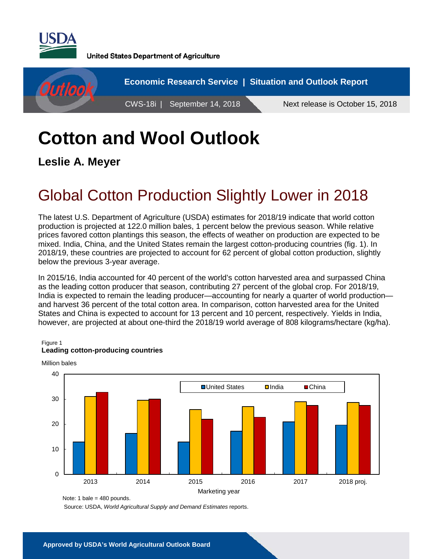

**United States Department of Agriculture** 



# **Cotton and Wool Outlook**

**Leslie A. Meyer**

## Global Cotton Production Slightly Lower in 2018

The latest U.S. Department of Agriculture (USDA) estimates for 2018/19 indicate that world cotton production is projected at 122.0 million bales, 1 percent below the previous season. While relative prices favored cotton plantings this season, the effects of weather on production are expected to be mixed. India, China, and the United States remain the largest cotton-producing countries (fig. 1). In 2018/19, these countries are projected to account for 62 percent of global cotton production, slightly below the previous 3-year average.

In 2015/16, India accounted for 40 percent of the world's cotton harvested area and surpassed China as the leading cotton producer that season, contributing 27 percent of the global crop. For 2018/19, India is expected to remain the leading producer—accounting for nearly a quarter of world production and harvest 36 percent of the total cotton area. In comparison, cotton harvested area for the United States and China is expected to account for 13 percent and 10 percent, respectively. Yields in India, however, are projected at about one-third the 2018/19 world average of 808 kilograms/hectare (kg/ha).

#### Figure 1



#### **Leading cotton-producing countries**

Source: USDA, *World Agricultural Supply and Demand Estimates* reports.

Note: 1 bale =  $480$  pounds.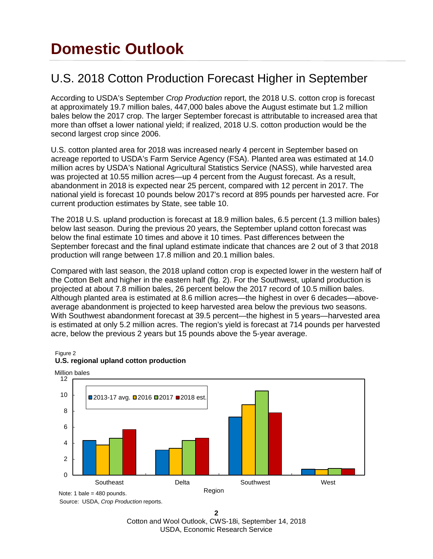## **Domestic Outlook**

#### U.S. 2018 Cotton Production Forecast Higher in September

According to USDA's September *Crop Production* report, the 2018 U.S. cotton crop is forecast at approximately 19.7 million bales, 447,000 bales above the August estimate but 1.2 million bales below the 2017 crop. The larger September forecast is attributable to increased area that more than offset a lower national yield; if realized, 2018 U.S. cotton production would be the second largest crop since 2006.

U.S. cotton planted area for 2018 was increased nearly 4 percent in September based on acreage reported to USDA's Farm Service Agency (FSA). Planted area was estimated at 14.0 million acres by USDA's National Agricultural Statistics Service (NASS), while harvested area was projected at 10.55 million acres—up 4 percent from the August forecast. As a result, abandonment in 2018 is expected near 25 percent, compared with 12 percent in 2017. The national yield is forecast 10 pounds below 2017's record at 895 pounds per harvested acre. For current production estimates by State, see table 10.

The 2018 U.S. upland production is forecast at 18.9 million bales, 6.5 percent (1.3 million bales) below last season. During the previous 20 years, the September upland cotton forecast was below the final estimate 10 times and above it 10 times. Past differences between the September forecast and the final upland estimate indicate that chances are 2 out of 3 that 2018 production will range between 17.8 million and 20.1 million bales.

Compared with last season, the 2018 upland cotton crop is expected lower in the western half of the Cotton Belt and higher in the eastern half (fig. 2). For the Southwest, upland production is projected at about 7.8 million bales, 26 percent below the 2017 record of 10.5 million bales. Although planted area is estimated at 8.6 million acres—the highest in over 6 decades—aboveaverage abandonment is projected to keep harvested area below the previous two seasons. With Southwest abandonment forecast at 39.5 percent—the highest in 5 years—harvested area is estimated at only 5.2 million acres. The region's yield is forecast at 714 pounds per harvested acre, below the previous 2 years but 15 pounds above the 5-year average.



#### Figure 2 **U.S. regional upland cotton production**

Source: USDA, *Crop Production* reports.

**2** Cotton and Wool Outlook, CWS-18i, September 14, 2018 USDA, Economic Research Service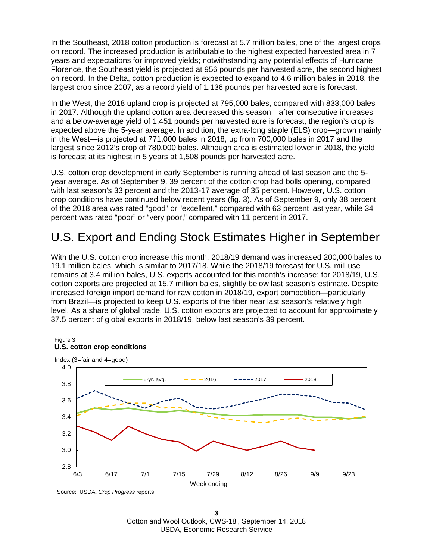In the Southeast, 2018 cotton production is forecast at 5.7 million bales, one of the largest crops on record. The increased production is attributable to the highest expected harvested area in 7 years and expectations for improved yields; notwithstanding any potential effects of Hurricane Florence, the Southeast yield is projected at 956 pounds per harvested acre, the second highest on record. In the Delta, cotton production is expected to expand to 4.6 million bales in 2018, the largest crop since 2007, as a record yield of 1,136 pounds per harvested acre is forecast.

In the West, the 2018 upland crop is projected at 795,000 bales, compared with 833,000 bales in 2017. Although the upland cotton area decreased this season—after consecutive increases and a below-average yield of 1,451 pounds per harvested acre is forecast, the region's crop is expected above the 5-year average. In addition, the extra-long staple (ELS) crop—grown mainly in the West—is projected at 771,000 bales in 2018, up from 700,000 bales in 2017 and the largest since 2012's crop of 780,000 bales. Although area is estimated lower in 2018, the yield is forecast at its highest in 5 years at 1,508 pounds per harvested acre.

U.S. cotton crop development in early September is running ahead of last season and the 5 year average. As of September 9, 39 percent of the cotton crop had bolls opening, compared with last season's 33 percent and the 2013-17 average of 35 percent. However, U.S. cotton crop conditions have continued below recent years (fig. 3). As of September 9, only 38 percent of the 2018 area was rated "good" or "excellent," compared with 63 percent last year, while 34 percent was rated "poor" or "very poor," compared with 11 percent in 2017.

### U.S. Export and Ending Stock Estimates Higher in September

With the U.S. cotton crop increase this month, 2018/19 demand was increased 200,000 bales to 19.1 million bales, which is similar to 2017/18. While the 2018/19 forecast for U.S. mill use remains at 3.4 million bales, U.S. exports accounted for this month's increase; for 2018/19, U.S. cotton exports are projected at 15.7 million bales, slightly below last season's estimate. Despite increased foreign import demand for raw cotton in 2018/19, export competition—particularly from Brazil—is projected to keep U.S. exports of the fiber near last season's relatively high level. As a share of global trade, U.S. cotton exports are projected to account for approximately 37.5 percent of global exports in 2018/19, below last season's 39 percent.



Figure 3 **U.S. cotton crop conditions**

Source: USDA, *Crop Progress* reports.

**3**  Cotton and Wool Outlook, CWS-18i, September 14, 2018 USDA, Economic Research Service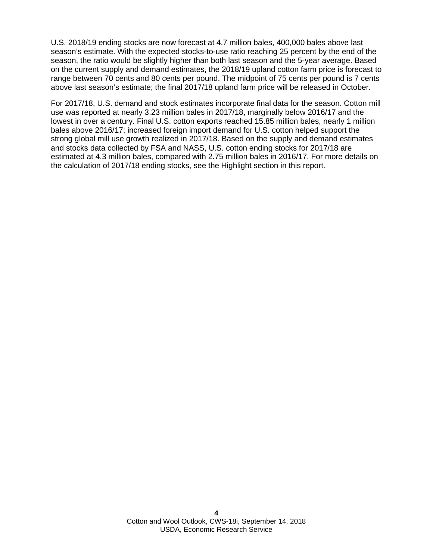U.S. 2018/19 ending stocks are now forecast at 4.7 million bales, 400,000 bales above last season's estimate. With the expected stocks-to-use ratio reaching 25 percent by the end of the season, the ratio would be slightly higher than both last season and the 5-year average. Based on the current supply and demand estimates, the 2018/19 upland cotton farm price is forecast to range between 70 cents and 80 cents per pound. The midpoint of 75 cents per pound is 7 cents above last season's estimate; the final 2017/18 upland farm price will be released in October.

For 2017/18, U.S. demand and stock estimates incorporate final data for the season. Cotton mill use was reported at nearly 3.23 million bales in 2017/18, marginally below 2016/17 and the lowest in over a century. Final U.S. cotton exports reached 15.85 million bales, nearly 1 million bales above 2016/17; increased foreign import demand for U.S. cotton helped support the strong global mill use growth realized in 2017/18. Based on the supply and demand estimates and stocks data collected by FSA and NASS, U.S. cotton ending stocks for 2017/18 are estimated at 4.3 million bales, compared with 2.75 million bales in 2016/17. For more details on the calculation of 2017/18 ending stocks, see the Highlight section in this report.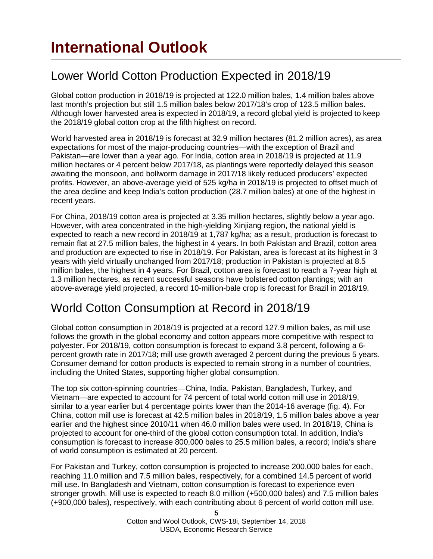### Lower World Cotton Production Expected in 2018/19

Global cotton production in 2018/19 is projected at 122.0 million bales, 1.4 million bales above last month's projection but still 1.5 million bales below 2017/18's crop of 123.5 million bales. Although lower harvested area is expected in 2018/19, a record global yield is projected to keep the 2018/19 global cotton crop at the fifth highest on record.

World harvested area in 2018/19 is forecast at 32.9 million hectares (81.2 million acres), as area expectations for most of the major-producing countries—with the exception of Brazil and Pakistan—are lower than a year ago. For India, cotton area in 2018/19 is projected at 11.9 million hectares or 4 percent below 2017/18, as plantings were reportedly delayed this season awaiting the monsoon, and bollworm damage in 2017/18 likely reduced producers' expected profits. However, an above-average yield of 525 kg/ha in 2018/19 is projected to offset much of the area decline and keep India's cotton production (28.7 million bales) at one of the highest in recent years.

For China, 2018/19 cotton area is projected at 3.35 million hectares, slightly below a year ago. However, with area concentrated in the high-yielding Xinjiang region, the national yield is expected to reach a new record in 2018/19 at 1,787 kg/ha; as a result, production is forecast to remain flat at 27.5 million bales, the highest in 4 years. In both Pakistan and Brazil, cotton area and production are expected to rise in 2018/19. For Pakistan, area is forecast at its highest in 3 years with yield virtually unchanged from 2017/18; production in Pakistan is projected at 8.5 million bales, the highest in 4 years. For Brazil, cotton area is forecast to reach a 7-year high at 1.3 million hectares, as recent successful seasons have bolstered cotton plantings; with an above-average yield projected, a record 10-million-bale crop is forecast for Brazil in 2018/19.

#### World Cotton Consumption at Record in 2018/19

Global cotton consumption in 2018/19 is projected at a record 127.9 million bales, as mill use follows the growth in the global economy and cotton appears more competitive with respect to polyester. For 2018/19, cotton consumption is forecast to expand 3.8 percent, following a 6 percent growth rate in 2017/18; mill use growth averaged 2 percent during the previous 5 years. Consumer demand for cotton products is expected to remain strong in a number of countries, including the United States, supporting higher global consumption.

The top six cotton-spinning countries—China, India, Pakistan, Bangladesh, Turkey, and Vietnam—are expected to account for 74 percent of total world cotton mill use in 2018/19, similar to a year earlier but 4 percentage points lower than the 2014-16 average (fig. 4). For China, cotton mill use is forecast at 42.5 million bales in 2018/19, 1.5 million bales above a year earlier and the highest since 2010/11 when 46.0 million bales were used. In 2018/19, China is projected to account for one-third of the global cotton consumption total. In addition, India's consumption is forecast to increase 800,000 bales to 25.5 million bales, a record; India's share of world consumption is estimated at 20 percent.

For Pakistan and Turkey, cotton consumption is projected to increase 200,000 bales for each, reaching 11.0 million and 7.5 million bales, respectively, for a combined 14.5 percent of world mill use. In Bangladesh and Vietnam, cotton consumption is forecast to experience even stronger growth. Mill use is expected to reach 8.0 million (+500,000 bales) and 7.5 million bales (+900,000 bales), respectively, with each contributing about 6 percent of world cotton mill use.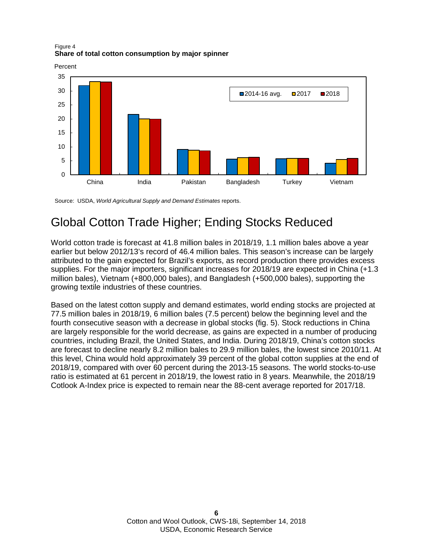Figure 4 **Share of total cotton consumption by major spinner**



Source: USDA, *World Agricultural Supply and Demand Estimates* reports.

### Global Cotton Trade Higher; Ending Stocks Reduced

World cotton trade is forecast at 41.8 million bales in 2018/19, 1.1 million bales above a year earlier but below 2012/13's record of 46.4 million bales. This season's increase can be largely attributed to the gain expected for Brazil's exports, as record production there provides excess supplies. For the major importers, significant increases for 2018/19 are expected in China (+1.3 million bales), Vietnam (+800,000 bales), and Bangladesh (+500,000 bales), supporting the growing textile industries of these countries.

Based on the latest cotton supply and demand estimates, world ending stocks are projected at 77.5 million bales in 2018/19, 6 million bales (7.5 percent) below the beginning level and the fourth consecutive season with a decrease in global stocks (fig. 5). Stock reductions in China are largely responsible for the world decrease, as gains are expected in a number of producing countries, including Brazil, the United States, and India. During 2018/19, China's cotton stocks are forecast to decline nearly 8.2 million bales to 29.9 million bales, the lowest since 2010/11. At this level, China would hold approximately 39 percent of the global cotton supplies at the end of 2018/19, compared with over 60 percent during the 2013-15 seasons. The world stocks-to-use ratio is estimated at 61 percent in 2018/19, the lowest ratio in 8 years. Meanwhile, the 2018/19 Cotlook A-Index price is expected to remain near the 88-cent average reported for 2017/18.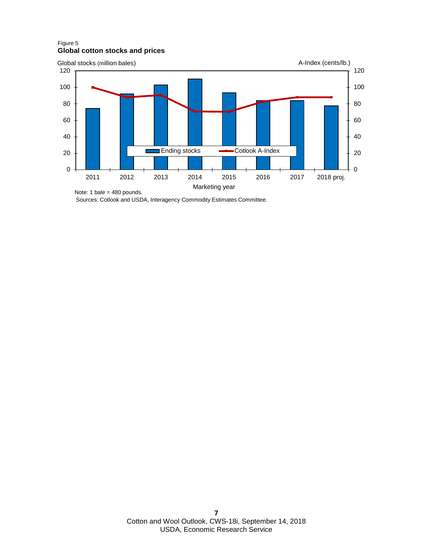#### Figure 5 **Global cotton stocks and prices**



Sources: Cotlook and USDA, Interagency Commodity Estimates Committee.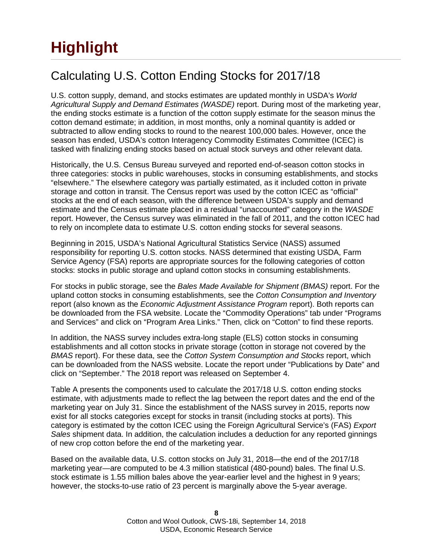# **Highlight**

### Calculating U.S. Cotton Ending Stocks for 2017/18

U.S. cotton supply, demand, and stocks estimates are updated monthly in USDA's *World Agricultural Supply and Demand Estimates (WASDE)* report. During most of the marketing year, the ending stocks estimate is a function of the cotton supply estimate for the season minus the cotton demand estimate; in addition, in most months, only a nominal quantity is added or subtracted to allow ending stocks to round to the nearest 100,000 bales. However, once the season has ended, USDA's cotton Interagency Commodity Estimates Committee (ICEC) is tasked with finalizing ending stocks based on actual stock surveys and other relevant data.

Historically, the U.S. Census Bureau surveyed and reported end-of-season cotton stocks in three categories: stocks in public warehouses, stocks in consuming establishments, and stocks "elsewhere." The elsewhere category was partially estimated, as it included cotton in private storage and cotton in transit. The Census report was used by the cotton ICEC as "official" stocks at the end of each season, with the difference between USDA's supply and demand estimate and the Census estimate placed in a residual "unaccounted" category in the *WASDE* report. However, the Census survey was eliminated in the fall of 2011, and the cotton ICEC had to rely on incomplete data to estimate U.S. cotton ending stocks for several seasons.

Beginning in 2015, USDA's National Agricultural Statistics Service (NASS) assumed responsibility for reporting U.S. cotton stocks. NASS determined that existing USDA, Farm Service Agency (FSA) reports are appropriate sources for the following categories of cotton stocks: stocks in public storage and upland cotton stocks in consuming establishments.

For stocks in public storage, see the *Bales Made Available for Shipment (BMAS)* report. For the upland cotton stocks in consuming establishments, see the *Cotton Consumption and Inventory* report (also known as the *Economic Adjustment Assistance Program* report). Both reports can be downloaded from the FSA website. Locate the "Commodity Operations" tab under "Programs and Services" and click on "Program Area Links." Then, click on "Cotton" to find these reports.

In addition, the NASS survey includes extra-long staple (ELS) cotton stocks in consuming establishments and all cotton stocks in private storage (cotton in storage not covered by the *BMAS* report). For these data, see the *Cotton System Consumption and Stocks* report, which can be downloaded from the NASS website. Locate the report under "Publications by Date" and click on "September." The 2018 report was released on September 4.

Table A presents the components used to calculate the 2017/18 U.S. cotton ending stocks estimate, with adjustments made to reflect the lag between the report dates and the end of the marketing year on July 31. Since the establishment of the NASS survey in 2015, reports now exist for all stocks categories except for stocks in transit (including stocks at ports). This category is estimated by the cotton ICEC using the Foreign Agricultural Service's (FAS) *Export Sales* shipment data. In addition, the calculation includes a deduction for any reported ginnings of new crop cotton before the end of the marketing year.

Based on the available data, U.S. cotton stocks on July 31, 2018—the end of the 2017/18 marketing year—are computed to be 4.3 million statistical (480-pound) bales. The final U.S. stock estimate is 1.55 million bales above the year-earlier level and the highest in 9 years; however, the stocks-to-use ratio of 23 percent is marginally above the 5-year average.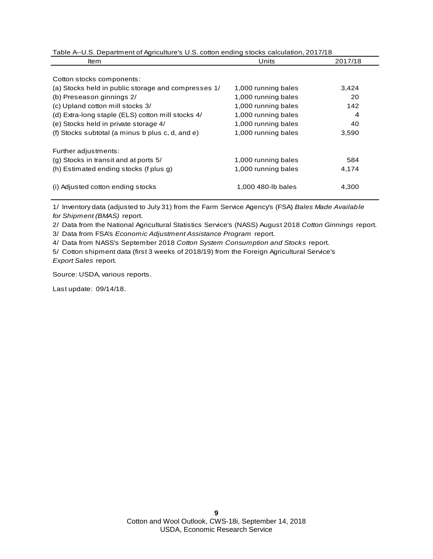Table A--U.S. Department of Agriculture's U.S. cotton ending stocks calculation, 2017/18

| ltem                                                | Units               | 2017/18 |
|-----------------------------------------------------|---------------------|---------|
| Cotton stocks components:                           |                     |         |
| (a) Stocks held in public storage and compresses 1/ | 1,000 running bales | 3,424   |
| (b) Preseason ginnings 2/                           | 1,000 running bales | 20      |
| (c) Upland cotton mill stocks 3/                    | 1,000 running bales | 142     |
| (d) Extra-long staple (ELS) cotton mill stocks 4/   | 1,000 running bales | 4       |
| (e) Stocks held in private storage 4/               | 1,000 running bales | 40      |
| (f) Stocks subtotal (a minus b plus c, d, and e)    | 1,000 running bales | 3,590   |
| Further adjustments:                                |                     |         |
| (g) Stocks in transit and at ports 5/               | 1,000 running bales | 584     |
| (h) Estimated ending stocks (f plus g)              | 1,000 running bales | 4,174   |
| (i) Adjusted cotton ending stocks                   | 1,000 480-lb bales  | 4,300   |

1/ Inventory data (adjusted to July 31) from the Farm Service Agency's (FSA) *Bales Made Available for Shipment (BMAS)* report.

2/ Data from the National Agricultural Statistics Service's (NASS) August 2018 *Cotton Ginnings* report.

3/ Data from FSA's *Economic Adjustment Assistance Program* report.

4/ Data from NASS's September 2018 *Cotton System Consumption and Stocks* report.

5/ Cotton shipment data (first 3 weeks of 2018/19) from the Foreign Agricultural Service's *Export Sales* report.

Source: USDA, various reports.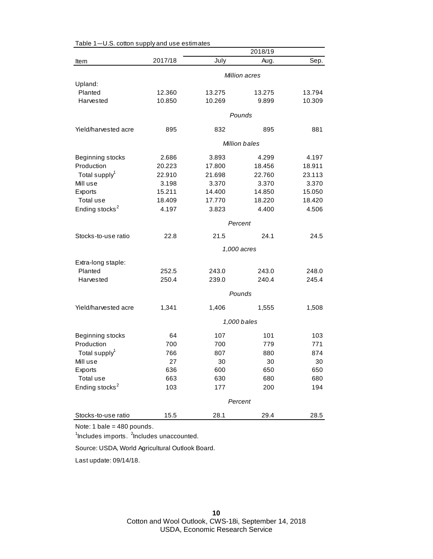|                            |         |        | 2018/19              |        |
|----------------------------|---------|--------|----------------------|--------|
| Item                       | 2017/18 | July   | Aug.                 | Sep.   |
|                            |         |        | Million acres        |        |
| Upland:                    |         |        |                      |        |
| Planted                    | 12.360  | 13.275 | 13.275               | 13.794 |
| Harvested                  | 10.850  | 10.269 | 9.899                | 10.309 |
|                            |         |        | Pounds               |        |
|                            |         |        |                      |        |
| Yield/harvested acre       | 895     | 832    | 895                  | 881    |
|                            |         |        | <b>Million bales</b> |        |
| Beginning stocks           | 2.686   | 3.893  | 4.299                | 4.197  |
| Production                 | 20.223  | 17.800 | 18.456               | 18.911 |
| Total supply <sup>1</sup>  | 22.910  | 21.698 | 22.760               | 23.113 |
| Mill use                   | 3.198   | 3.370  | 3.370                | 3.370  |
| Exports                    | 15.211  | 14.400 | 14.850               | 15.050 |
| Total use                  | 18.409  | 17.770 | 18.220               | 18.420 |
| Ending stocks <sup>2</sup> | 4.197   | 3.823  | 4.400                | 4.506  |
|                            |         |        | Percent              |        |
| Stocks-to-use ratio        | 22.8    | 21.5   | 24.1                 | 24.5   |
|                            |         |        | 1,000 acres          |        |
|                            |         |        |                      |        |
| Extra-long staple:         |         |        |                      |        |
| Planted                    | 252.5   | 243.0  | 243.0                | 248.0  |
| Harvested                  | 250.4   | 239.0  | 240.4                | 245.4  |
|                            |         |        | Pounds               |        |
| Yield/harvested acre       | 1,341   | 1,406  | 1,555                | 1,508  |
|                            |         |        | 1,000 bales          |        |
| Beginning stocks           | 64      | 107    | 101                  | 103    |
| Production                 | 700     | 700    | 779                  | 771    |
| Total supply <sup>1</sup>  | 766     | 807    | 880                  | 874    |
| Mill use                   | 27      | 30     | 30                   | 30     |
| Exports                    | 636     | 600    | 650                  | 650    |
| Total use                  | 663     | 630    | 680                  | 680    |
| Ending stocks <sup>2</sup> | 103     | 177    | 200                  | 194    |
|                            |         |        |                      |        |
|                            |         |        | Percent              |        |
| Stocks-to-use ratio        | 15.5    | 28.1   | 29.4                 | 28.5   |

Table 1—U.S. cotton supply and use estimates

<sup>1</sup>Includes imports. <sup>2</sup>Includes unaccounted.

Source: USDA, World Agricultural Outlook Board.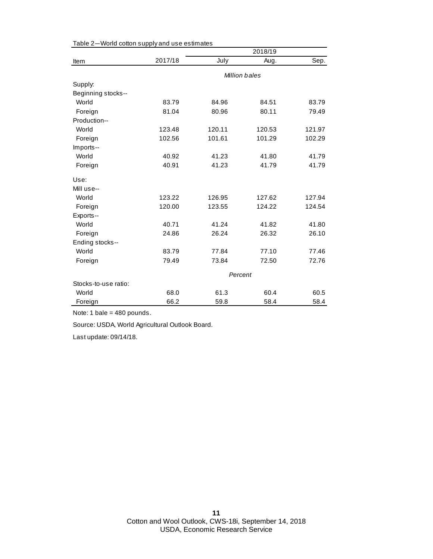|                      |         |         | 2018/19       |        |
|----------------------|---------|---------|---------------|--------|
| Item                 | 2017/18 | July    | Aug.          | Sep.   |
|                      |         |         | Million bales |        |
| Supply:              |         |         |               |        |
| Beginning stocks--   |         |         |               |        |
| World                | 83.79   | 84.96   | 84.51         | 83.79  |
| Foreign              | 81.04   | 80.96   | 80.11         | 79.49  |
| Production--         |         |         |               |        |
| World                | 123.48  | 120.11  | 120.53        | 121.97 |
| Foreign              | 102.56  | 101.61  | 101.29        | 102.29 |
| Imports--            |         |         |               |        |
| World                | 40.92   | 41.23   | 41.80         | 41.79  |
| Foreign              | 40.91   | 41.23   | 41.79         | 41.79  |
| Use:                 |         |         |               |        |
| Mill use--           |         |         |               |        |
| World                | 123.22  | 126.95  | 127.62        | 127.94 |
| Foreign              | 120.00  | 123.55  | 124.22        | 124.54 |
| Exports--            |         |         |               |        |
| World                | 40.71   | 41.24   | 41.82         | 41.80  |
| Foreign              | 24.86   | 26.24   | 26.32         | 26.10  |
| Ending stocks--      |         |         |               |        |
| World                | 83.79   | 77.84   | 77.10         | 77.46  |
| Foreign              | 79.49   | 73.84   | 72.50         | 72.76  |
|                      |         | Percent |               |        |
| Stocks-to-use ratio: |         |         |               |        |
| World                | 68.0    | 61.3    | 60.4          | 60.5   |
| Foreign              | 66.2    | 59.8    | 58.4          | 58.4   |

Table 2—World cotton supply and use estimates

Source: USDA, World Agricultural Outlook Board.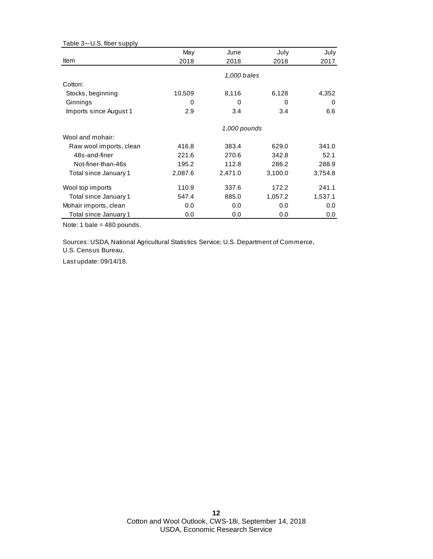| Table 3-U.S. fiber supply |         |              |         |         |
|---------------------------|---------|--------------|---------|---------|
|                           | May     | June         | July    | July    |
| <b>Item</b>               | 2018    | 2018         | 2018    | 2017    |
|                           |         | 1,000 bales  |         |         |
| Cotton:                   |         |              |         |         |
| Stocks, beginning         | 10,509  | 8,116        | 6,128   | 4,352   |
| Ginnings                  | 0       | 0            | 0       | 0       |
| Imports since August 1    | 2.9     | 3.4          | 3.4     | 6.6     |
|                           |         | 1,000 pounds |         |         |
| Wool and mohair:          |         |              |         |         |
| Raw wool imports, clean   | 416.8   | 383.4        | 629.0   | 341.0   |
| 48s-and-finer             | 221.6   | 270.6        | 342.8   | 52.1    |
| Not-finer-than-46s        | 195.2   | 112.8        | 286.2   | 288.9   |
| Total since January 1     | 2,087.6 | 2,471.0      | 3,100.0 | 3,754.8 |
| Wool top imports          | 110.9   | 337.6        | 172.2   | 241.1   |
| Total since January 1     | 547.4   | 885.0        | 1,057.2 | 1,537.1 |
| Mohair imports, clean     | 0.0     | 0.0          | 0.0     | 0.0     |
| Total since January 1     | 0.0     | 0.0          | 0.0     | 0.0     |

Sources: USDA, National Agricultural Statistics Service; U.S. Department of Commerce, U.S. Census Bureau.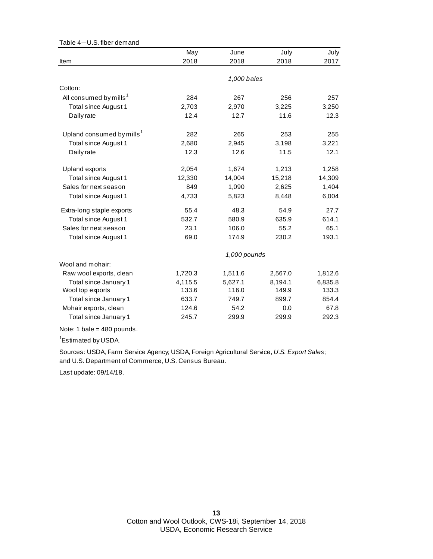| Table 4-U.S. fiber demand             |         |              |         |         |
|---------------------------------------|---------|--------------|---------|---------|
|                                       | May     | June         | July    | July    |
| Item                                  | 2018    | 2018         | 2018    | 2017    |
|                                       |         |              |         |         |
|                                       |         | 1,000 bales  |         |         |
| Cotton:                               |         |              |         |         |
| All consumed by mills <sup>1</sup>    | 284     | 267          | 256     | 257     |
| Total since August 1                  | 2,703   | 2,970        | 3,225   | 3,250   |
| Daily rate                            | 12.4    | 12.7         | 11.6    | 12.3    |
| Upland consumed by mills <sup>1</sup> | 282     | 265          | 253     | 255     |
| Total since August 1                  | 2,680   | 2,945        | 3,198   | 3,221   |
| Daily rate                            | 12.3    | 12.6         | 11.5    | 12.1    |
| <b>Upland exports</b>                 | 2,054   | 1,674        | 1,213   | 1,258   |
| Total since August 1                  | 12,330  | 14,004       | 15,218  | 14,309  |
| Sales for next season                 | 849     | 1,090        | 2,625   | 1,404   |
| Total since August 1                  | 4,733   | 5,823        | 8,448   | 6,004   |
| Extra-long staple exports             | 55.4    | 48.3         | 54.9    | 27.7    |
| Total since August 1                  | 532.7   | 580.9        | 635.9   | 614.1   |
| Sales for next season                 | 23.1    | 106.0        | 55.2    | 65.1    |
| Total since August 1                  | 69.0    | 174.9        | 230.2   | 193.1   |
|                                       |         | 1,000 pounds |         |         |
| Wool and mohair:                      |         |              |         |         |
| Raw wool exports, clean               | 1,720.3 | 1,511.6      | 2,567.0 | 1,812.6 |
| Total since January 1                 | 4,115.5 | 5,627.1      | 8,194.1 | 6,835.8 |
| Wool top exports                      | 133.6   | 116.0        | 149.9   | 133.3   |
| Total since January 1                 | 633.7   | 749.7        | 899.7   | 854.4   |
| Mohair exports, clean                 | 124.6   | 54.2         | 0.0     | 67.8    |
| Total since January 1                 | 245.7   | 299.9        | 299.9   | 292.3   |

<sup>1</sup>Estimated by USDA.

and U.S. Department of Commerce, U.S. Census Bureau. Sources: USDA, Farm Service Agency; USDA, Foreign Agricultural Service, *U.S. Export Sales* ;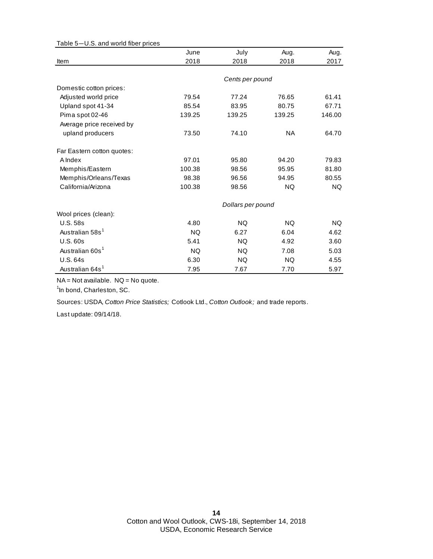| Table 5-U.S. and world fiber prices |           |                   |           |        |
|-------------------------------------|-----------|-------------------|-----------|--------|
|                                     | June      | July              | Aug.      | Aug.   |
| Item                                | 2018      | 2018              | 2018      | 2017   |
|                                     |           |                   |           |        |
|                                     |           | Cents per pound   |           |        |
| Domestic cotton prices:             |           |                   |           |        |
| Adjusted world price                | 79.54     | 77.24             | 76.65     | 61.41  |
| Upland spot 41-34                   | 85.54     | 83.95             | 80.75     | 67.71  |
| Pima spot 02-46                     | 139.25    | 139.25            | 139.25    | 146.00 |
| Average price received by           |           |                   |           |        |
| upland producers                    | 73.50     | 74.10             | <b>NA</b> | 64.70  |
| Far Eastern cotton quotes:          |           |                   |           |        |
| A Index                             | 97.01     | 95.80             | 94.20     | 79.83  |
| Memphis/Eastern                     | 100.38    | 98.56             | 95.95     | 81.80  |
| Memphis/Orleans/Texas               | 98.38     | 96.56             | 94.95     | 80.55  |
| California/Arizona                  | 100.38    | 98.56             | <b>NQ</b> | NQ.    |
|                                     |           | Dollars per pound |           |        |
| Wool prices (clean):                |           |                   |           |        |
| <b>U.S. 58s</b>                     | 4.80      | NQ.               | <b>NQ</b> | NQ.    |
| Australian 58s <sup>1</sup>         | <b>NQ</b> | 6.27              | 6.04      | 4.62   |
| U.S.60s                             | 5.41      | NQ.               | 4.92      | 3.60   |
| Australian 60s <sup>1</sup>         | <b>NQ</b> | NQ.               | 7.08      | 5.03   |
| <b>U.S. 64s</b>                     | 6.30      | <b>NQ</b>         | <b>NQ</b> | 4.55   |
| Australian 64s <sup>1</sup>         | 7.95      | 7.67              | 7.70      | 5.97   |

NA = Not available. NQ = No quote.

<sup>1</sup>In bond, Charleston, SC.

Sources: USDA, *Cotton Price Statistics;* Cotlook Ltd., *Cotton Outlook;* and trade reports.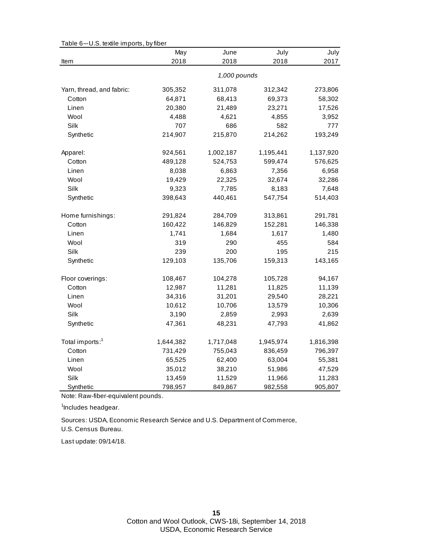|                              | May       | June         | July      | July      |
|------------------------------|-----------|--------------|-----------|-----------|
| Item                         | 2018      | 2018         | 2018      | 2017      |
|                              |           | 1,000 pounds |           |           |
| Yarn, thread, and fabric:    | 305,352   | 311,078      | 312,342   | 273,806   |
| Cotton                       | 64,871    | 68,413       | 69,373    | 58,302    |
| Linen                        | 20,380    | 21,489       | 23,271    | 17,526    |
| Wool                         | 4,488     | 4,621        | 4,855     | 3,952     |
| Silk                         | 707       | 686          | 582       | 777       |
| Synthetic                    | 214,907   | 215,870      | 214,262   | 193,249   |
| Apparel:                     | 924,561   | 1,002,187    | 1,195,441 | 1,137,920 |
| Cotton                       | 489,128   | 524,753      | 599,474   | 576,625   |
| Linen                        | 8,038     | 6,863        | 7,356     | 6,958     |
| Wool                         | 19,429    | 22,325       | 32,674    | 32,286    |
| Silk                         | 9,323     | 7,785        | 8,183     | 7,648     |
| Synthetic                    | 398,643   | 440,461      | 547,754   | 514,403   |
| Home furnishings:<br>291,824 |           | 284,709      | 313,861   | 291,781   |
| Cotton                       | 160,422   | 146,829      | 152,281   | 146,338   |
| Linen                        | 1,741     | 1,684        | 1,617     | 1,480     |
| Wool                         | 319       | 290          | 455       | 584       |
| Silk                         | 239       | 200          | 195       | 215       |
| Synthetic                    | 129,103   | 135,706      | 159,313   | 143,165   |
| Floor coverings:             | 108,467   | 104,278      | 105,728   | 94,167    |
| Cotton                       | 12,987    | 11,281       | 11,825    | 11,139    |
| Linen                        | 34,316    | 31,201       | 29,540    | 28,221    |
| Wool                         | 10,612    | 10,706       | 13,579    | 10,306    |
| Silk                         | 3,190     | 2,859        | 2,993     | 2,639     |
| Synthetic                    | 47,361    | 48,231       | 47,793    | 41,862    |
| Total imports: <sup>1</sup>  | 1,644,382 | 1,717,048    | 1,945,974 | 1,816,398 |
| Cotton                       | 731,429   | 755,043      | 836,459   | 796,397   |
| Linen                        | 65,525    | 62,400       | 63,004    | 55,381    |
| Wool                         | 35,012    | 38,210       | 51,986    | 47,529    |
| Silk                         | 13,459    | 11,529       | 11,966    | 11,283    |
| Synthetic                    | 798,957   | 849,867      | 982,558   | 905,807   |

Table 6—U.S. textile imports, by fiber

Note: Raw-fiber-equivalent pounds.

<sup>1</sup>Includes headgear.

U.S. Census Bureau. Sources: USDA, Economic Research Service and U.S. Department of Commerce,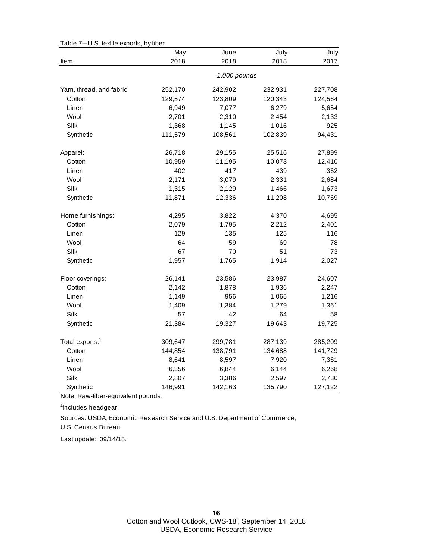|                             | May     | June         | July    | July    |
|-----------------------------|---------|--------------|---------|---------|
| Item                        | 2018    | 2018         | 2018    | 2017    |
|                             |         | 1,000 pounds |         |         |
| Yarn, thread, and fabric:   | 252,170 | 242,902      | 232,931 | 227,708 |
| Cotton                      | 129,574 | 123,809      | 120,343 | 124,564 |
| Linen                       | 6,949   | 7,077        | 6,279   | 5,654   |
| Wool                        | 2,701   | 2,310        | 2,454   | 2,133   |
| Silk                        | 1,368   | 1,145        | 1,016   | 925     |
| Synthetic                   | 111,579 | 108,561      | 102,839 | 94,431  |
| Apparel:                    | 26,718  | 29,155       | 25,516  | 27,899  |
| Cotton                      | 10,959  | 11,195       | 10,073  | 12,410  |
| Linen                       | 402     | 417          | 439     | 362     |
| Wool                        | 2,171   | 3,079        | 2,331   | 2,684   |
| Silk                        | 1,315   | 2,129        | 1,466   | 1,673   |
| Synthetic                   | 11,871  | 12,336       | 11,208  | 10,769  |
| Home furnishings:           | 4,295   | 3,822        | 4,370   | 4,695   |
| Cotton                      | 2,079   | 1,795        | 2,212   | 2,401   |
| Linen                       | 129     | 135          | 125     | 116     |
| Wool                        | 64      | 59           | 69      | 78      |
| Silk                        | 67      | 70           | 51      | 73      |
| Synthetic                   | 1,957   | 1,765        | 1,914   | 2,027   |
| Floor coverings:            | 26,141  | 23,586       | 23,987  | 24,607  |
| Cotton                      | 2,142   | 1,878        | 1,936   | 2,247   |
| Linen                       | 1,149   | 956          | 1,065   | 1,216   |
| Wool                        | 1,409   | 1,384        | 1,279   | 1,361   |
| Silk                        | 57      | 42           | 64      | 58      |
| Synthetic                   | 21,384  | 19,327       | 19,643  | 19,725  |
| Total exports: <sup>1</sup> | 309,647 | 299,781      | 287,139 | 285,209 |
| Cotton                      | 144,854 | 138,791      | 134,688 | 141,729 |
| Linen                       | 8,641   | 8,597        | 7,920   | 7,361   |
| Wool                        | 6,356   | 6,844        | 6,144   | 6,268   |
| Silk                        | 2,807   | 3,386        | 2,597   | 2,730   |
| Synthetic                   | 146,991 | 142,163      | 135,790 | 127,122 |

Table 7—U.S. textile exports, by fiber

Note: Raw-fiber-equivalent pounds.

<sup>1</sup>Includes headgear.

U.S. Census Bureau. Sources: USDA, Economic Research Service and U.S. Department of Commerce,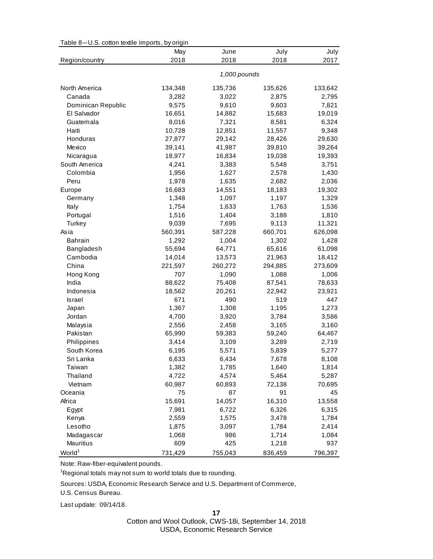| Table 8-0.5. cotton textile imports, by origin | May     | June         | July    | July    |
|------------------------------------------------|---------|--------------|---------|---------|
| Region/country                                 | 2018    | 2018         | 2018    | 2017    |
|                                                |         |              |         |         |
|                                                |         | 1,000 pounds |         |         |
| North America                                  | 134,348 | 135,736      | 135,626 | 133,642 |
| Canada                                         | 3,282   | 3,022        | 2,875   | 2,795   |
| Dominican Republic                             | 9,575   | 9,610        | 9,603   | 7,821   |
| El Salvador                                    | 16,651  | 14,882       | 15,683  | 19,019  |
| Guatemala                                      | 8,016   | 7,321        | 8,581   | 6,324   |
| Haiti                                          | 10,728  | 12,851       | 11,557  | 9,348   |
| Honduras                                       | 27,877  | 29,142       | 28,426  | 29,630  |
| Mexico                                         | 39,141  | 41,987       | 39,810  | 39,264  |
| Nicaragua                                      | 18,977  | 16,834       | 19,038  | 19,393  |
| South America                                  | 4,241   | 3,383        | 5,548   | 3,751   |
| Colombia                                       | 1,956   | 1,627        | 2,578   | 1,430   |
| Peru                                           | 1,978   | 1,635        | 2,682   | 2,036   |
| Europe                                         | 16,683  | 14,551       | 18,183  | 19,302  |
| Germany                                        | 1,348   | 1,097        | 1,197   | 1,329   |
| Italy                                          | 1,754   | 1,633        | 1,763   | 1,536   |
| Portugal                                       | 1,516   | 1,404        | 3,188   | 1,810   |
| Turkey                                         | 9,039   | 7,695        | 9,113   | 11,321  |
| Asia                                           | 560,391 | 587,228      | 660,701 | 626,098 |
| <b>Bahrain</b>                                 | 1,292   | 1,004        | 1,302   | 1,428   |
| Bangladesh                                     | 55,694  | 64,771       | 65,616  | 61,098  |
| Cambodia                                       | 14,014  | 13,573       | 21,963  | 18,412  |
| China                                          | 221,597 | 260,272      | 294,885 | 273,609 |
| Hong Kong                                      | 707     | 1,090        | 1,088   | 1,006   |
| India                                          | 88,622  | 75,408       | 87,541  | 78,633  |
| Indonesia                                      | 18,562  | 20,261       | 22,942  | 23,921  |
| Israel                                         | 671     | 490          | 519     | 447     |
| Japan                                          | 1,367   | 1,308        | 1,195   | 1,273   |
| Jordan                                         | 4,700   | 3,920        | 3,784   | 3,586   |
| Malaysia                                       | 2,556   | 2,458        | 3,165   | 3,160   |
| Pakistan                                       | 65,990  | 59,383       | 59,240  | 64,467  |
| Philippines                                    | 3,414   | 3,109        | 3,289   | 2,719   |
| South Korea                                    | 6,195   | 5,571        | 5,839   | 5,277   |
| Sri Lanka                                      | 6,633   | 6,434        | 7,678   | 8,108   |
| Taiwan                                         | 1,382   | 1,785        | 1,640   | 1,814   |
| Thailand                                       | 4,722   | 4,574        | 5,464   | 5,287   |
| Vietnam                                        | 60,987  | 60,893       | 72,138  | 70,695  |
| Oceania                                        | 75      | 87           | 91      | 45      |
| Africa                                         | 15,691  | 14,057       | 16,310  | 13,558  |
| Egypt                                          | 7,981   | 6,722        | 6,326   | 6,315   |
| Kenya                                          | 2,559   | 1,575        | 3,478   | 1,784   |
| Lesotho                                        | 1,875   | 3,097        | 1,784   | 2,414   |
| Madagascar                                     | 1,068   | 986          | 1,714   | 1,084   |
| Mauritius                                      | 609     | 425          | 1,218   | 937     |
| World <sup>1</sup>                             | 731,429 | 755,043      | 836,459 | 796,397 |

Table 8—U.S. cotton textile imports, by origin

Note: Raw-fiber-equivalent pounds.

<sup>1</sup>Regional totals may not sum to world totals due to rounding.

Sources: USDA, Economic Research Service and U.S. Department of Commerce,

U.S. Census Bureau.

Last update: 09/14/18.

**17**

Cotton and Wool Outlook, CWS-18i, September 14, 2018 USDA, Economic Research Service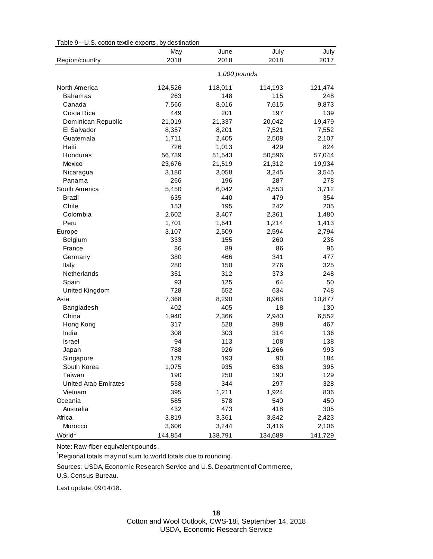| Table 9-U.S. cotton textile exports, by destination | May     | June         | July    | July    |
|-----------------------------------------------------|---------|--------------|---------|---------|
| Region/country                                      | 2018    | 2018         | 2018    | 2017    |
|                                                     |         | 1,000 pounds |         |         |
| North America                                       | 124,526 | 118,011      | 114,193 | 121,474 |
| <b>Bahamas</b>                                      | 263     | 148          | 115     | 248     |
| Canada                                              | 7,566   | 8,016        | 7,615   | 9,873   |
| Costa Rica                                          | 449     | 201          | 197     | 139     |
| Dominican Republic                                  | 21,019  | 21,337       | 20,042  | 19,479  |
| El Salvador                                         | 8,357   | 8,201        | 7,521   | 7,552   |
| Guatemala                                           | 1,711   | 2,405        | 2,508   | 2,107   |
| Haiti                                               | 726     | 1,013        | 429     | 824     |
| Honduras                                            | 56,739  | 51,543       | 50,596  | 57,044  |
| Mexico                                              | 23,676  | 21,519       | 21,312  | 19,934  |
| Nicaragua                                           | 3,180   | 3,058        | 3,245   | 3,545   |
| Panama                                              | 266     | 196          | 287     | 278     |
| South America                                       | 5,450   | 6,042        | 4,553   | 3,712   |
| Brazil                                              | 635     | 440          | 479     | 354     |
| Chile                                               | 153     | 195          | 242     | 205     |
| Colombia                                            | 2,602   | 3,407        | 2,361   | 1,480   |
| Peru                                                | 1,701   | 1,641        | 1,214   | 1,413   |
| Europe                                              | 3,107   | 2,509        | 2,594   | 2,794   |
| Belgium                                             | 333     | 155          | 260     | 236     |
| France                                              | 86      | 89           | 86      | 96      |
| Germany                                             | 380     | 466          | 341     | 477     |
| Italy                                               | 280     | 150          | 276     | 325     |
| Netherlands                                         | 351     | 312          | 373     | 248     |
| Spain                                               | 93      | 125          | 64      | 50      |
| United Kingdom                                      | 728     | 652          | 634     | 748     |
| Asia                                                | 7,368   | 8,290        | 8,968   | 10,877  |
| Bangladesh                                          | 402     | 405          | 18      | 130     |
| China                                               | 1,940   | 2,366        | 2,940   | 6,552   |
| Hong Kong                                           | 317     | 528          | 398     | 467     |
| India                                               | 308     | 303          | 314     | 136     |
| Israel                                              | 94      | 113          | 108     | 138     |
| Japan                                               | 788     | 926          | 1,266   | 993     |
| Singapore                                           | 179     | 193          | 90      | 184     |
| South Korea                                         | 1,075   | 935          | 636     | 395     |
| Taiwan                                              | 190     | 250          | 190     | 129     |
| United Arab Emirates                                | 558     | 344          | 297     | 328     |
| Vietnam                                             | 395     | 1,211        | 1,924   | 836     |
| Oceania                                             | 585     | 578          | 540     | 450     |
| Australia                                           | 432     | 473          | 418     | 305     |
| Africa                                              | 3,819   | 3,361        | 3,842   | 2,423   |
| Morocco                                             | 3,606   | 3,244        | 3,416   | 2,106   |
| World <sup>1</sup>                                  | 144,854 | 138,791      | 134,688 | 141,729 |

Table 9—U.S. cotton textile exports, by destination

Note: Raw-fiber-equivalent pounds.

<sup>1</sup>Regional totals may not sum to world totals due to rounding.

Sources: USDA, Economic Research Service and U.S. Department of Commerce,

U.S. Census Bureau.

Last update: 09/14/18.

Cotton and Wool Outlook, CWS-18i, September 14, 2018 USDA, Economic Research Service